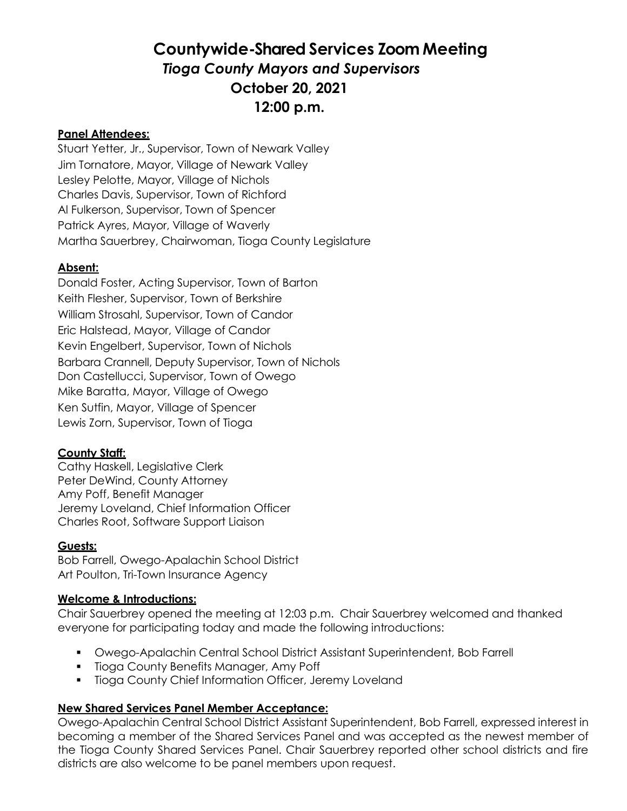# **Countywide-Shared Services Zoom Meeting** *Tioga County Mayors and Supervisors* **October 20, 2021 12:00 p.m.**

## **Panel Attendees:**

Stuart Yetter, Jr., Supervisor, Town of Newark Valley Jim Tornatore, Mayor, Village of Newark Valley Lesley Pelotte, Mayor, Village of Nichols Charles Davis, Supervisor, Town of Richford Al Fulkerson, Supervisor, Town of Spencer Patrick Ayres, Mayor, Village of Waverly Martha Sauerbrey, Chairwoman, Tioga County Legislature

## **Absent:**

Donald Foster, Acting Supervisor, Town of Barton Keith Flesher, Supervisor, Town of Berkshire William Strosahl, Supervisor, Town of Candor Eric Halstead, Mayor, Village of Candor Kevin Engelbert, Supervisor, Town of Nichols Barbara Crannell, Deputy Supervisor, Town of Nichols Don Castellucci, Supervisor, Town of Owego Mike Baratta, Mayor, Village of Owego Ken Sutfin, Mayor, Village of Spencer Lewis Zorn, Supervisor, Town of Tioga

## **County Staff:**

Cathy Haskell, Legislative Clerk Peter DeWind, County Attorney Amy Poff, Benefit Manager Jeremy Loveland, Chief Information Officer Charles Root, Software Support Liaison

## **Guests:**

Bob Farrell, Owego-Apalachin School District Art Poulton, Tri-Town Insurance Agency

#### **Welcome & Introductions:**

Chair Sauerbrey opened the meeting at 12:03 p.m. Chair Sauerbrey welcomed and thanked everyone for participating today and made the following introductions:

- Owego-Apalachin Central School District Assistant Superintendent, Bob Farrell
- **Tioga County Benefits Manager, Amy Poff**
- **Tioga County Chief Information Officer, Jeremy Loveland**

## **New Shared Services Panel Member Acceptance:**

Owego-Apalachin Central School District Assistant Superintendent, Bob Farrell, expressed interest in becoming a member of the Shared Services Panel and was accepted as the newest member of the Tioga County Shared Services Panel. Chair Sauerbrey reported other school districts and fire districts are also welcome to be panel members upon request.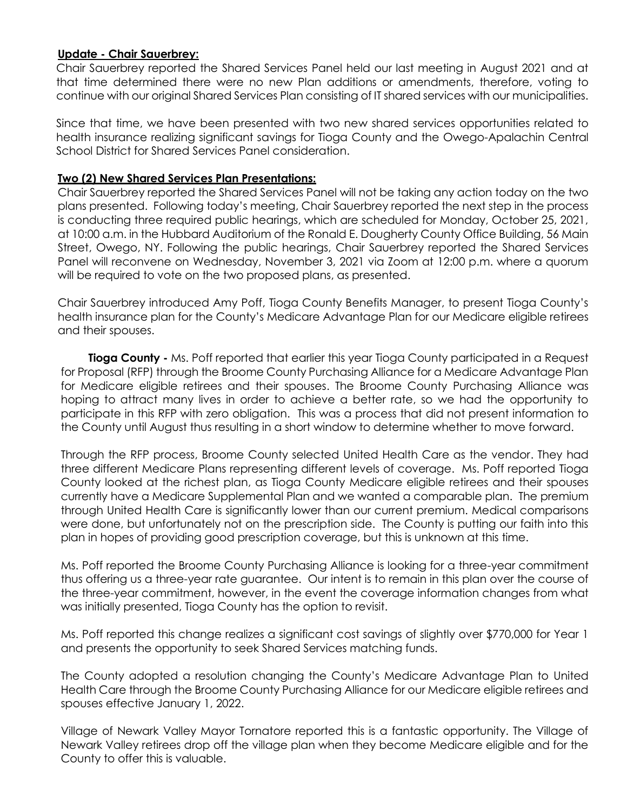### **Update - Chair Sauerbrey:**

Chair Sauerbrey reported the Shared Services Panel held our last meeting in August 2021 and at that time determined there were no new Plan additions or amendments, therefore, voting to continue with our original Shared Services Plan consisting of IT shared services with our municipalities.

Since that time, we have been presented with two new shared services opportunities related to health insurance realizing significant savings for Tioga County and the Owego-Apalachin Central School District for Shared Services Panel consideration.

## **Two (2) New Shared Services Plan Presentations:**

Chair Sauerbrey reported the Shared Services Panel will not be taking any action today on the two plans presented. Following today's meeting, Chair Sauerbrey reported the next step in the process is conducting three required public hearings, which are scheduled for Monday, October 25, 2021, at 10:00 a.m. in the Hubbard Auditorium of the Ronald E. Dougherty County Office Building, 56 Main Street, Owego, NY. Following the public hearings, Chair Sauerbrey reported the Shared Services Panel will reconvene on Wednesday, November 3, 2021 via Zoom at 12:00 p.m. where a quorum will be required to vote on the two proposed plans, as presented.

Chair Sauerbrey introduced Amy Poff, Tioga County Benefits Manager, to present Tioga County's health insurance plan for the County's Medicare Advantage Plan for our Medicare eligible retirees and their spouses.

**Tioga County -** Ms. Poff reported that earlier this year Tioga County participated in a Request for Proposal (RFP) through the Broome County Purchasing Alliance for a Medicare Advantage Plan for Medicare eligible retirees and their spouses. The Broome County Purchasing Alliance was hoping to attract many lives in order to achieve a better rate, so we had the opportunity to participate in this RFP with zero obligation. This was a process that did not present information to the County until August thus resulting in a short window to determine whether to move forward.

Through the RFP process, Broome County selected United Health Care as the vendor. They had three different Medicare Plans representing different levels of coverage. Ms. Poff reported Tioga County looked at the richest plan, as Tioga County Medicare eligible retirees and their spouses currently have a Medicare Supplemental Plan and we wanted a comparable plan. The premium through United Health Care is significantly lower than our current premium. Medical comparisons were done, but unfortunately not on the prescription side. The County is putting our faith into this plan in hopes of providing good prescription coverage, but this is unknown at this time.

Ms. Poff reported the Broome County Purchasing Alliance is looking for a three-year commitment thus offering us a three-year rate guarantee. Our intent is to remain in this plan over the course of the three-year commitment, however, in the event the coverage information changes from what was initially presented, Tioga County has the option to revisit.

Ms. Poff reported this change realizes a significant cost savings of slightly over \$770,000 for Year 1 and presents the opportunity to seek Shared Services matching funds.

The County adopted a resolution changing the County's Medicare Advantage Plan to United Health Care through the Broome County Purchasing Alliance for our Medicare eligible retirees and spouses effective January 1, 2022.

Village of Newark Valley Mayor Tornatore reported this is a fantastic opportunity. The Village of Newark Valley retirees drop off the village plan when they become Medicare eligible and for the County to offer this is valuable.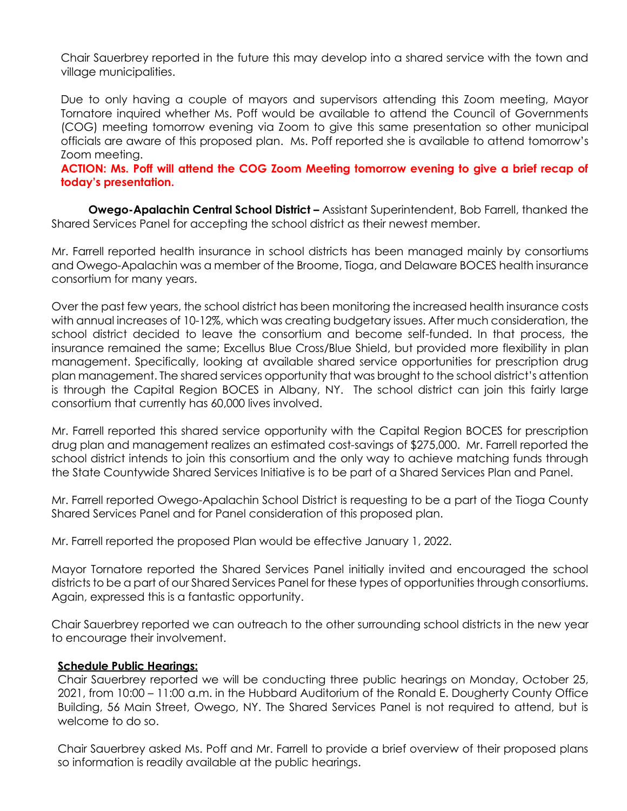Chair Sauerbrey reported in the future this may develop into a shared service with the town and village municipalities.

Due to only having a couple of mayors and supervisors attending this Zoom meeting, Mayor Tornatore inquired whether Ms. Poff would be available to attend the Council of Governments (COG) meeting tomorrow evening via Zoom to give this same presentation so other municipal officials are aware of this proposed plan. Ms. Poff reported she is available to attend tomorrow's Zoom meeting.

## **ACTION: Ms. Poff will attend the COG Zoom Meeting tomorrow evening to give a brief recap of today's presentation.**

**Owego-Apalachin Central School District –** Assistant Superintendent, Bob Farrell, thanked the Shared Services Panel for accepting the school district as their newest member.

Mr. Farrell reported health insurance in school districts has been managed mainly by consortiums and Owego-Apalachin was a member of the Broome, Tioga, and Delaware BOCES health insurance consortium for many years.

Over the past few years, the school district has been monitoring the increased health insurance costs with annual increases of 10-12%, which was creating budgetary issues. After much consideration, the school district decided to leave the consortium and become self-funded. In that process, the insurance remained the same; Excellus Blue Cross/Blue Shield, but provided more flexibility in plan management. Specifically, looking at available shared service opportunities for prescription drug plan management. The shared services opportunity that was brought to the school district's attention is through the Capital Region BOCES in Albany, NY. The school district can join this fairly large consortium that currently has 60,000 lives involved.

Mr. Farrell reported this shared service opportunity with the Capital Region BOCES for prescription drug plan and management realizes an estimated cost-savings of \$275,000. Mr. Farrell reported the school district intends to join this consortium and the only way to achieve matching funds through the State Countywide Shared Services Initiative is to be part of a Shared Services Plan and Panel.

Mr. Farrell reported Owego-Apalachin School District is requesting to be a part of the Tioga County Shared Services Panel and for Panel consideration of this proposed plan.

Mr. Farrell reported the proposed Plan would be effective January 1, 2022.

Mayor Tornatore reported the Shared Services Panel initially invited and encouraged the school districts to be a part of our Shared Services Panel for these types of opportunities through consortiums. Again, expressed this is a fantastic opportunity.

Chair Sauerbrey reported we can outreach to the other surrounding school districts in the new year to encourage their involvement.

#### **Schedule Public Hearings:**

Chair Sauerbrey reported we will be conducting three public hearings on Monday, October 25, 2021, from 10:00 – 11:00 a.m. in the Hubbard Auditorium of the Ronald E. Dougherty County Office Building, 56 Main Street, Owego, NY. The Shared Services Panel is not required to attend, but is welcome to do so.

Chair Sauerbrey asked Ms. Poff and Mr. Farrell to provide a brief overview of their proposed plans so information is readily available at the public hearings.